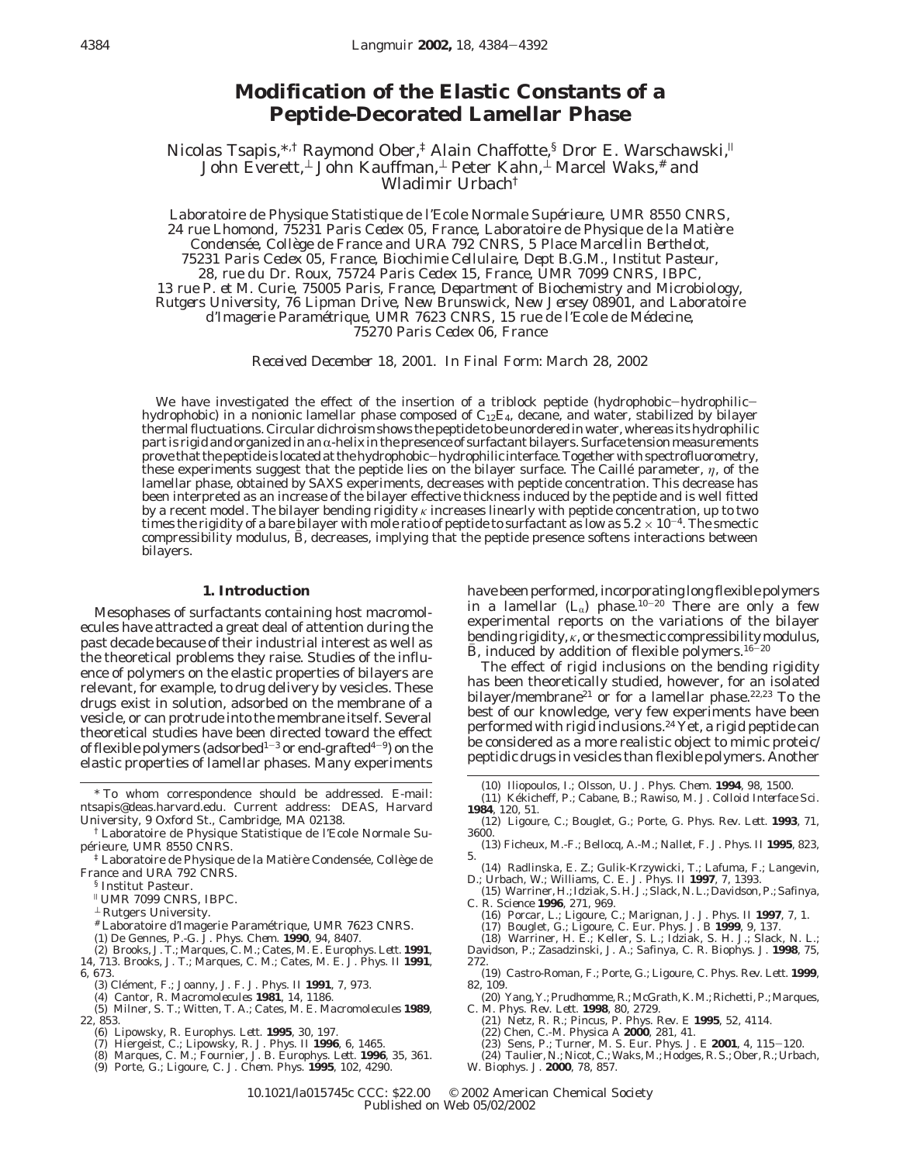# **Modification of the Elastic Constants of a Peptide-Decorated Lamellar Phase**

Nicolas Tsapis,\*,<sup>†</sup> Raymond Ober,<sup>‡</sup> Alain Chaffotte,<sup>§</sup> Dror E. Warschawski,<sup>||</sup> John Everett,⊥ John Kauffman,⊥ Peter Kahn,⊥ Marcel Waks,# and Wladimir Urbach†

*Laboratoire de Physique Statistique de l'Ecole Normale Supe*´*rieure, UMR 8550 CNRS, 24 rue Lhomond, 75231 Paris Cedex 05, France, Laboratoire de Physique de la Matie*`*re Condense*´*e, Colle*`*ge de France and URA 792 CNRS, 5 Place Marcellin Berthelot, 75231 Paris Cedex 05, France, Biochimie Cellulaire, Dept B.G.M., Institut Pasteur, 28, rue du Dr. Roux, 75724 Paris Cedex 15, France, UMR 7099 CNRS, IBPC, 13 rue P. et M. Curie, 75005 Paris, France, Department of Biochemistry and Microbiology, Rutgers University, 76 Lipman Drive, New Brunswick, New Jersey 08901, and Laboratoire d'Imagerie Parame*´*trique, UMR 7623 CNRS, 15 rue de l'Ecole de Me*´*decine, 75270 Paris Cedex 06, France*

*Received December 18, 2001. In Final Form: March 28, 2002*

We have investigated the effect of the insertion of a triblock peptide (hydrophobic-hydrophilichydrophobic) in a nonionic lamellar phase composed of  $C_{12}E_4$ , decane, and water, stabilized by bilayer thermal fluctuations. Circular dichroism shows the peptide to be unordered in water, whereas its hydrophilic part is rigid and organized in an  $\alpha$ -helix in the presence of surfactant bilayers. Surface tension measurements<br>prove that the peptide is located at the hydrophobic—hydrophilic interface. Together with spectrofluorometr prove that the peptide is located at the hydrophobic—hydrophilic interface. Together with spectrofluorometry,<br>these experiments suggest that the peptide lies on the bilayer surface. The Caillé parameter, η, lamellar phase, obtained by SAXS experiments, decreases with peptide concentration. This decrease has been interpreted as an increase of the bilayer effective thickness induced by the peptide and is well fitted by a recent model. The bilayer bending rigidity *κ* increases linearly with peptide concentration, up to two times the rigidity of a bare bilayer with mole ratio of peptide to surfactant as low as  $5.2 \times 10^{-4}$ . The smectic compressibility modulus,  $\bar{B}$ , decreases, implying that the peptide presence softens interactions between bilayers.

### **1. Introduction**

Mesophases of surfactants containing host macromolecules have attracted a great deal of attention during the past decade because of their industrial interest as well as the theoretical problems they raise. Studies of the influence of polymers on the elastic properties of bilayers are relevant, for example, to drug delivery by vesicles. These drugs exist in solution, adsorbed on the membrane of a vesicle, or can protrude into the membrane itself. Several theoretical studies have been directed toward the effect of flexible polymers (adsorbed<sup>1-3</sup> or end-grafted<sup>4-9</sup>) on the elastic properties of lamellar phases. Many experiments

- <sup>‡</sup> Laboratoire de Physique de la Matière Condensée, Collège de France and URA 792 CNRS.
	- § Institut Pasteur.
	- <sup>|</sup> UMR 7099 CNRS, IBPC.
	- <sup>⊥</sup> Rutgers University.
	- # Laboratoire d'Imagerie Paramétrique, UMR 7623 CNRS.
	-
- (1) De Gennes, P.-G. *J. Phys. Chem*. **1990**, *94*, 8407. (2) Brooks, J. T.; Marques, C. M.; Cates, M. E. *Europhys. Lett*. **1991**, *14*, 713. Brooks, J. T.; Marques, C. M.; Cates, M. E. *J. Phys. II* **1991**,
- *6*, 673.
	- (3) Cle´ment, F.; Joanny, J. F. *J. Phys. II* **1991**, *7*, 973. (4) Cantor, R. *Macromolecules* **1981**, *14*, 1186.
	-

(5) Milner, S. T.; Witten, T. A.; Cates, M. E. *Macromolecules* **1989**, *22*, 853.

- (6) Lipowsky, R. *Europhys. Lett*. **1995**, *30*, 197. (7) Hiergeist, C.; Lipowsky, R. *J. Phys. II* **1996**, *6*, 1465.
- 
- (8) Marques, C. M.; Fournier, J. B. *Europhys. Lett*. **1996**, *35*, 361.
- (9) Porte, G.; Ligoure, C. *J. Chem. Phys*. **1995**, *102*, 4290.

have been performed, incorporating long flexible polymers in a lamellar  $(L_{\alpha})$  phase.<sup>10-20</sup> There are only a few experimental reports on the variations of the bilayer bending rigidity, *κ*, or the smectic compressibility modulus, *B*, induced by addition of flexible polymers.<sup>16-20</sup>

The effect of rigid inclusions on the bending rigidity has been theoretically studied, however, for an isolated bilayer/membrane<sup>21</sup> or for a lamellar phase.<sup>22,23</sup> To the best of our knowledge, very few experiments have been performed with rigid inclusions.24 Yet, a rigid peptide can be considered as a more realistic object to mimic proteic/ peptidic drugs in vesicles than flexible polymers. Another

- (10) Iliopoulos, I.; Olsson, U. *J. Phys. Chem.* **1994**, *98*, 1500.
- (11) Ke´kicheff, P.; Cabane, B.; Rawiso, M. *J. Colloid Interface Sci*. **1984**, *120*, 51.
- (12) Ligoure, C.; Bouglet, G.; Porte, G. *Phys. Rev. Lett.* **1993**, *71*, 3600.
- (13) Ficheux, M.-F.; Bellocq, A.-M.; Nallet, F. *J. Phys. II* **1995**, *823*, 5.
- (14) Radlinska, E. Z.; Gulik-Krzywicki, T.; Lafuma, F.; Langevin, D.; Urbach, W.; Williams, C. E. *J. Phys. II* **1997**, *7*, 1393.
- (15) Warriner, H.; Idziak, S. H. J.; Slack, N. L.; Davidson, P.; Safinya, C. R. *Science* **1996**, *271*, 969.
	- (16) Porcar, L.; Ligoure, C.; Marignan, J. *J. Phys. II* **1997**, *7*, 1.
	- (17) Bouglet, G.; Ligoure, C. *Eur. Phys. J. B* **1999**, *9*, 137.
	-
- (18) Warriner, H. E.; Keller, S. L.; Idziak, S. H. J.; Slack, N. L.; Davidson, P.; Zasadzinski, J. A.; Safinya, C. R. *Biophys. J*. **1998**, *75*, 272.
- (19) Castro-Roman, F.; Porte, G.; Ligoure, C. *Phys. Rev. Lett.* **1999**, *82*, 109.
- (20) Yang, Y.; Prudhomme, R.; McGrath, K. M.; Richetti, P.; Marques, C. M. *Phys. Rev. Lett*. **1998**, *80*, 2729. (21) Netz, R. R.; Pincus, P. *Phys. Rev. E* **1995**, *52*, 4114.
- 
- 
- 
- (22) Chen, C.-M. *Physica A* **2000**, *281*, 41. (23) Sens, P.; Turner, M. S. *Eur. Phys. J. E* **<sup>2001</sup>**, *<sup>4</sup>*, 115-120. (24) Taulier, N.; Nicot, C.; Waks, M.; Hodges, R. S.; Ober, R.; Urbach,
- W. *Biophys. J.* **2000**, *78*, 857.

10.1021/la015745c CCC: \$22.00 © 2002 American Chemical Society Published on Web 05/02/2002

<sup>\*</sup> To whom correspondence should be addressed. E-mail: ntsapis@deas.harvard.edu. Current address: DEAS, Harvard University, 9 Oxford St., Cambridge, MA 02138.

<sup>†</sup> Laboratoire de Physique Statistique de l'Ecole Normale Supérieure, UMR 8550 CNRS.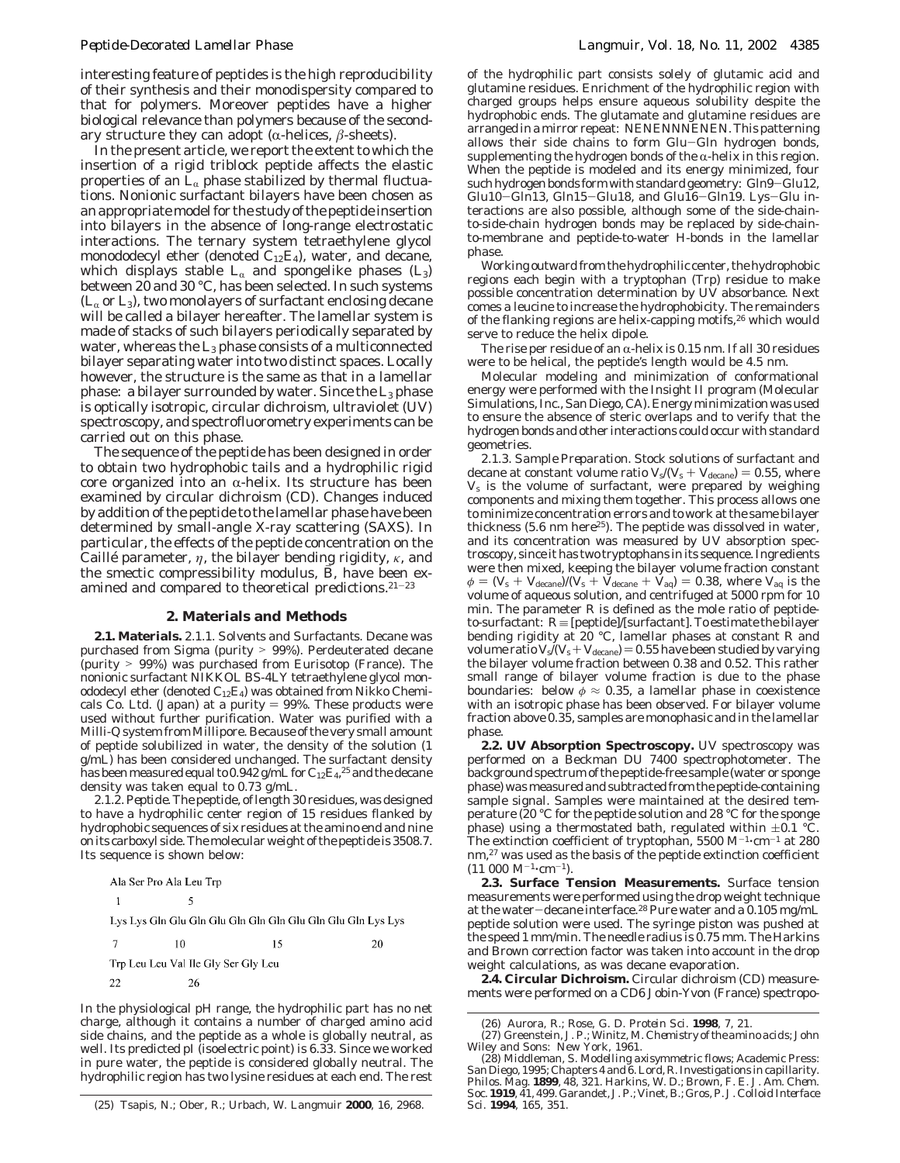interesting feature of peptides is the high reproducibility of their synthesis and their monodispersity compared to that for polymers. Moreover peptides have a higher biological relevance than polymers because of the secondary structure they can adopt ( $\alpha$ -helices,  $\beta$ -sheets).

In the present article, we report the extent to which the insertion of a rigid triblock peptide affects the elastic properties of an  $L_{\alpha}$  phase stabilized by thermal fluctuations. Nonionic surfactant bilayers have been chosen as an appropriate model for the study of the peptide insertion into bilayers in the absence of long-range electrostatic interactions. The ternary system tetraethylene glycol monododecyl ether (denoted  $C_{12}E_4$ ), water, and decane, which displays stable  $L_\alpha$  and spongelike phases (L<sub>3</sub>) between 20 and 30 °C, has been selected. In such systems  $(L_{\alpha}$  or  $L_3$ ), two monolayers of surfactant enclosing decane will be called a bilayer hereafter. The lamellar system is made of stacks of such bilayers periodically separated by water, whereas the  $L_3$  phase consists of a multiconnected bilayer separating water into two distinct spaces. Locally however, the structure is the same as that in a lamellar phase: a bilayer surrounded by water. Since the  $L_3$  phase is optically isotropic, circular dichroism, ultraviolet (UV) spectroscopy, and spectrofluorometry experiments can be carried out on this phase.

The sequence of the peptide has been designed in order to obtain two hydrophobic tails and a hydrophilic rigid core organized into an  $\alpha$ -helix. Its structure has been examined by circular dichroism (CD). Changes induced by addition of the peptide to the lamellar phase have been determined by small-angle X-ray scattering (SAXS). In particular, the effects of the peptide concentration on the Caillé parameter, *η*, the bilayer bending rigidity, *κ*, and the smectic compressibility modulus,  $\ddot{B}$ , have been examined and compared to theoretical predictions.<sup>21-23</sup>

### **2. Materials and Methods**

**2.1. Materials.** *2.1.1. Solvents and Surfactants.* Decane was purchased from Sigma (purity > 99%). Perdeuterated decane (purity > 99%) was purchased from Eurisotop (France). The nonionic surfactant NIKKOL BS-4LY tetraethylene glycol monododecyl ether (denoted  $C_{12}E_4$ ) was obtained from Nikko Chemicals Co. Ltd. (Japan) at a purity  $= 99\%$ . These products were used without further purification. Water was purified with a Milli-Q system from Millipore. Because of the very small amount of peptide solubilized in water, the density of the solution (1 g/mL) has been considered unchanged. The surfactant density has been measured equal to 0.942 g/mL for  $\rm{C_{12}E_{4}}$ , $^{25}$  and the decane density was taken equal to 0.73 g/mL.

*2.1.2. Peptide.*The peptide, of length 30 residues, was designed to have a hydrophilic center region of 15 residues flanked by hydrophobic sequences of six residues at the amino end and nine on its carboxyl side. The molecular weight of the peptide is 3508.7. Its sequence is shown below:

In the physiological pH range, the hydrophilic part has no net charge, although it contains a number of charged amino acid side chains, and the peptide as a whole is globally neutral, as well. Its predicted pI (isoelectric point) is 6.33. Since we worked in pure water, the peptide is considered globally neutral. The hydrophilic region has two lysine residues at each end. The rest

of the hydrophilic part consists solely of glutamic acid and glutamine residues. Enrichment of the hydrophilic region with charged groups helps ensure aqueous solubility despite the hydrophobic ends. The glutamate and glutamine residues are arranged in a mirror repeat: NENENNNENEN. This patterning allows their side chains to form Glu-Gln hydrogen bonds, supplementing the hydrogen bonds of the  $\alpha$ -helix in this region. When the peptide is modeled and its energy minimized, four such hydrogen bonds form with standard geometry: Gln9-Glu12, Glu10-Gln13, Gln15-Glu18, and Glu16-Gln19. Lys-Glu interactions are also possible, although some of the side-chainto-side-chain hydrogen bonds may be replaced by side-chainto-membrane and peptide-to-water H-bonds in the lamellar phase.

Working outward from the hydrophilic center, the hydrophobic regions each begin with a tryptophan (Trp) residue to make possible concentration determination by UV absorbance. Next comes a leucine to increase the hydrophobicity. The remainders of the flanking regions are helix-capping motifs,<sup>26</sup> which would serve to reduce the helix dipole.

The rise per residue of an  $\alpha$ -helix is 0.15 nm. If all 30 residues were to be helical, the peptide's length would be 4.5 nm.

Molecular modeling and minimization of conformational energy were performed with the Insight II program (Molecular Simulations, Inc., San Diego, CA). Energy minimization was used to ensure the absence of steric overlaps and to verify that the hydrogen bonds and other interactions could occur with standard geometries.

*2.1.3. Sample Preparation.* Stock solutions of surfactant and decane at constant volume ratio  $V_s/(V_s + V_{\text{decancel}}) = 0.55$ , where  $V_s$  is the volume of surfactant, were prepared by weighing components and mixing them together. This process allows one to minimize concentration errors and to work at the same bilayer thickness  $(5.6 \text{ nm here}^{25})$ . The peptide was dissolved in water, and its concentration was measured by UV absorption spectroscopy, since it has two tryptophans in its sequence. Ingredients were then mixed, keeping the bilayer volume fraction constant  $\phi = (V_s + V_{\text{decancel}})/(V_s + V_{\text{decancel}} + V_{\text{decancel}} + V_{\text{aq}}) = 0.38$ , where  $V_{\text{aq}}$  is the volume of aqueous solution, and centrifuged at 5000 rpm for 10 min. The parameter  $R$  is defined as the mole ratio of peptideto-surfactant:  $R \equiv$  [peptide]/[surfactant]. To estimate the bilayer bending rigidity at 20 °C, lamellar phases at constant *R* and volume ratio  $V_s/(V_s + V_{\text{decancel}}) = 0.55$  have been studied by varying the bilayer volume fraction between 0.38 and 0.52. This rather small range of bilayer volume fraction is due to the phase boundaries: below  $\phi \approx 0.35$ , a lamellar phase in coexistence with an isotropic phase has been observed. For bilayer volume fraction above 0.35, samples are monophasic and in the lamellar phase.

**2.2. UV Absorption Spectroscopy.** UV spectroscopy was performed on a Beckman DU 7400 spectrophotometer. The background spectrum of the peptide-free sample (water or sponge phase) was measured and subtracted from the peptide-containing sample signal. Samples were maintained at the desired temperature (20 °C for the peptide solution and 28 °C for the sponge phase) using a thermostated bath, regulated within  $\pm 0.1$  °C. The extinction coefficient of tryptophan, 5500  $M^{-1}$ ·cm<sup>-1</sup> at 280 nm,<sup>27</sup> was used as the basis of the peptide extinction coefficient  $(11\ 000\ M^{-1} \cdot cm^{-1}).$ 

**2.3. Surface Tension Measurements.** Surface tension measurements were performed using the drop weight technique at the water-decane interface.28 Pure water and a 0.105 mg/mL peptide solution were used. The syringe piston was pushed at the speed 1 mm/min. The needle radius is 0.75 mm. The Harkins and Brown correction factor was taken into account in the drop weight calculations, as was decane evaporation.

**2.4. Circular Dichroism.** Circular dichroism (CD) measurements were performed on a CD6 Jobin-Yvon (France) spectropo-

<sup>(25)</sup> Tsapis, N.; Ober, R.; Urbach, W. *Langmuir* **2000**, *16*, 2968.

<sup>(26)</sup> Aurora, R.; Rose, G. D. *Protein Sci*. **1998**, *7*, 21.

<sup>(27)</sup> Greenstein, J. P.; Winitz, M. *Chemistry of the amino acids*; John Wiley and Sons: New York, 1961.

<sup>(28)</sup> Middleman, S. *Modelling axisymmetric flows*; Academic Press: San Diego, 1995; Chapters 4 and 6. Lord, R. Investigations in capillarity. *Philos. Mag*. **1899**, *48*, 321. Harkins, W. D.; Brown, F. E. *J. Am. Chem. Soc.* **1919**, *41*, 499. Garandet, J. P.; Vinet, B.; Gros, P. *J. Colloid Interface Sci.* **1994**, *165*, 351.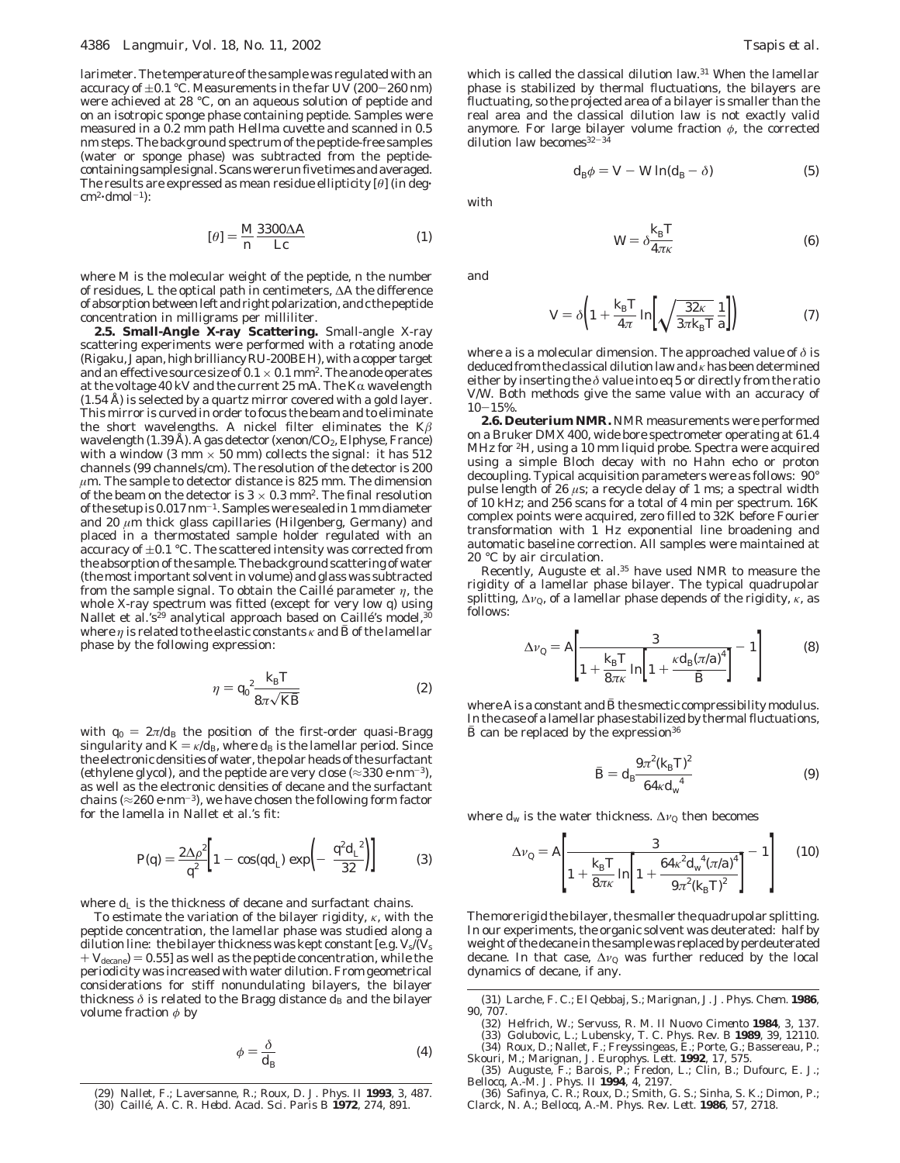larimeter. The temperature of the sample was regulated with an accuracy of  $\pm 0.1$  °C. Measurements in the far UV (200-260 nm) were achieved at 28 °C, on an aqueous solution of peptide and on an isotropic sponge phase containing peptide. Samples were measured in a 0.2 mm path Hellma cuvette and scanned in 0.5 nm steps. The background spectrum of the peptide-free samples (water or sponge phase) was subtracted from the peptidecontaining sample signal. Scans were run five times and averaged. The results are expressed as mean residue ellipticity [*θ*] (in deg'  $cm<sup>2</sup>·dmol<sup>-1</sup>$ :

$$
[\theta] = \frac{M \, 3300 \Delta A}{n \, Lc} \tag{1}
$$

where *M* is the molecular weight of the peptide, *n* the number of residues, *L* the optical path in centimeters, ∆*A* the difference of absorption between left and right polarization, and*c* the peptide concentration in milligrams per milliliter.

**2.5. Small-Angle X-ray Scattering.** Small-angle X-ray scattering experiments were performed with a rotating anode (Rigaku, Japan, high brilliancy RU-200BEH), with a copper target and an effective source size of  $0.1 \times 0.1$  mm<sup>2</sup>. The anode operates at the voltage  $40 \, \text{kV}$  and the current  $25 \, \text{mA}$ . The  $\text{K}\alpha$  wavelength (1.54 Å) is selected by a quartz mirror covered with a gold layer. This mirror is curved in order to focus the beam and to eliminate the short wavelengths. A nickel filter eliminates the K*â* wavelength (1.39 Å). A gas detector (xenon/ $CO_2$ , Elphyse, France) with a window (3 mm  $\times$  50 mm) collects the signal: it has 512 channels (99 channels/cm). The resolution of the detector is 200  $\mu$ m. The sample to detector distance is 825 mm. The dimension of the beam on the detector is  $3 \times 0.3$  mm<sup>2</sup>. The final resolution of the setup is 0.017 nm-1. Samples were sealed in 1 mm diameter and 20 *µ*m thick glass capillaries (Hilgenberg, Germany) and placed in a thermostated sample holder regulated with an accuracy of  $\pm 0.1$  °C. The scattered intensity was corrected from the absorption of the sample. The background scattering of water (the most important solvent in volume) and glass was subtracted from the sample signal. To obtain the Caillé parameter  $\eta$ , the whole X-ray spectrum was fitted (except for very low *q*) using Nallet et al.'s<sup>29</sup> analytical approach based on Caillé's model,  $30$ where  $\eta$  is related to the elastic constants  $\kappa$  and  $\bar{B}$  of the lamellar phase by the following expression:

$$
\eta = q_0^2 \frac{k_{\rm B} T}{8\pi\sqrt{KB}}
$$
 (2)

with  $q_0 = 2\pi/d_B$  the position of the first-order quasi-Bragg singularity and  $K = \kappa / d_B$ , where  $d_B$  is the lamellar period. Since the electronic densities of water, the polar heads of the surfactant (ethylene glycol), and the peptide are very close ( $\approx$ 330 e·nm<sup>-3</sup>), as well as the electronic densities of decane and the surfactant chains ( $\approx$ 260 e·nm<sup>-3</sup>), we have chosen the following form factor for the lamella in Nallet et al.'s fit:

$$
P(q) = \frac{2\Delta\rho^2}{q^2} \bigg[ 1 - \cos(qd_L) \exp\bigg( - \frac{q^2 d_L^2}{32} \bigg) \bigg] \tag{3}
$$

where  $d_{\text{L}}$  is the thickness of decane and surfactant chains.

To estimate the variation of the bilayer rigidity, *κ*, with the peptide concentration, the lamellar phase was studied along a dilution line: the bilayer thickness was kept constant [e.g. *V*s/(*V*<sup>s</sup>  $+$   $V_{\text{decane}}$  = 0.55] as well as the peptide concentration, while the periodicity was increased with water dilution. From geometrical considerations for stiff nonundulating bilayers, the bilayer thickness  $\delta$  is related to the Bragg distance  $d_{\text{B}}$  and the bilayer volume fraction *φ* by

$$
\phi = \frac{\delta}{d_{\rm B}}\tag{4}
$$

which is called the classical dilution law.31 When the lamellar phase is stabilized by thermal fluctuations, the bilayers are fluctuating, so the projected area of a bilayer is smaller than the real area and the classical dilution law is not exactly valid anymore. For large bilayer volume fraction *φ*, the corrected dilution law becomes $32-34$ 

$$
d_{\mathcal{B}}\phi = V - W \ln(d_{\mathcal{B}} - \delta) \tag{5}
$$

with

$$
W = \delta \frac{k_{\rm B} T}{4\pi \kappa} \tag{6}
$$

and

$$
V = \delta \left( 1 + \frac{k_{\rm B}T}{4\pi} \ln \left[ \sqrt{\frac{32\kappa}{3\pi k_{\rm B}T}} \frac{1}{a} \right] \right) \tag{7}
$$

where *a* is a molecular dimension. The approached value of *δ* is deduced from the classical dilution law and*κ*has been determined either by inserting the *δ* value into eq 5 or directly from the ratio *V*/*W*. Both methods give the same value with an accuracy of  $10-15%$ 

**2.6. Deuterium NMR.** NMR measurements were performed on a Bruker DMX 400, wide bore spectrometer operating at 61.4 MHz for 2H, using a 10 mm liquid probe. Spectra were acquired using a simple Bloch decay with no Hahn echo or proton decoupling. Typical acquisition parameters were as follows: 90° pulse length of 26 *µ*s; a recycle delay of 1 ms; a spectral width of 10 kHz; and 256 scans for a total of 4 min per spectrum. 16K complex points were acquired, zero filled to 32K before Fourier transformation with 1 Hz exponential line broadening and automatic baseline correction. All samples were maintained at 20 °C by air circulation.

Recently, Auguste et al.35 have used NMR to measure the rigidity of a lamellar phase bilayer. The typical quadrupolar splitting, ∆*ν*Q, of a lamellar phase depends of the rigidity, *κ*, as follows:

$$
\Delta v_{Q} = A \left[ \frac{3}{1 + \frac{k_{B} T}{8 \pi \kappa} \ln \left[ 1 + \frac{\kappa d_{B} (\pi / a)^{4}}{\bar{B}} \right]} - 1 \right]
$$
(8)

where  $A$  is a constant and  $\bar{B}$  the smectic compressibility modulus. In the case of a lamellar phase stabilized by thermal fluctuations,  $\bar{B}$  can be replaced by the expression<sup>36</sup>

$$
\bar{B} = d_{\rm B} \frac{9\pi^2 (k_{\rm B} T)^2}{64\kappa d_{\rm w}^4} \tag{9}
$$

where  $d_w$  is the water thickness.  $\Delta v_Q$  then becomes

$$
\Delta v_{\mathbf{Q}} = A \left[ \frac{3}{1 + \frac{k_{\mathbf{B}} T}{8 \pi \kappa} \ln \left[ 1 + \frac{64 \kappa^2 d_{\mathbf{w}}^4 (\pi / a)^4}{9 \pi^2 (k_{\mathbf{B}} T)^2} \right]} - 1 \right] \tag{10}
$$

The more rigid the bilayer, the smaller the quadrupolar splitting. In our experiments, the organic solvent was deuterated: half by weight of the decane in the sample was replaced by perdeuterated decane. In that case, ∆*ν*<sup>Q</sup> was further reduced by the local dynamics of decane, if any.

Skouri, M.; Marignan, J. *Europhys. Lett.* **1992**, *17*, 575. (35) Auguste, F.; Barois, P.; Fredon, L.; Clin, B.; Dufourc, E. J.;

Bellocq, A.-M. *J. Phys. II* **1994**, *4*, 2197. (36) Safinya, C. R.; Roux, D.; Smith, G. S.; Sinha, S. K.; Dimon, P.; Clarck, N. A.; Bellocq, A.-M. *Phys. Rev. Lett.* **1986**, *57*, 2718.

<sup>(29)</sup> Nallet, F.; Laversanne, R.; Roux, D. *J. Phys. II* **1993**, *3*, 487. (30) Caille´, A. *C. R. Hebd. Acad. Sci. Paris B* **1972**, *274*, 891.

<sup>(31)</sup> Larche, F. C.; El Qebbaj, S.; Marignan, J. *J. Phys. Chem*. **1986**, *90*, 707.

<sup>(32)</sup> Helfrich, W.; Servuss, R. M. *Il Nuovo Cimento* **1984**, *3*, 137. (33) Golubovic, L.; Lubensky, T. C. *Phys. Rev. B* **1989**, *39*, 12110.

<sup>(34)</sup> Roux, D.; Nallet, F.; Freyssingeas, E.; Porte, G.; Bassereau, P.;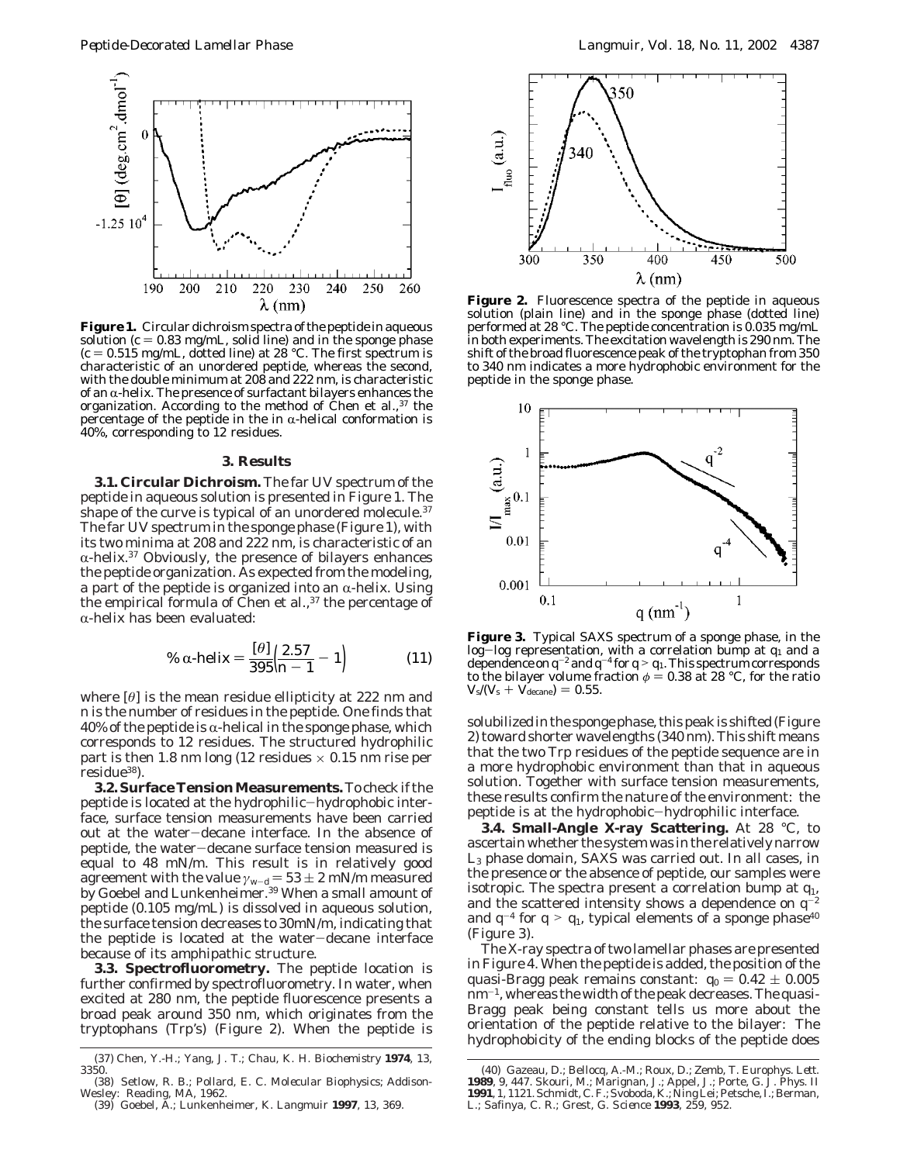

**Figure 1.** Circular dichroism spectra of the peptide in aqueous solution  $(c = 0.83$  mg/mL, solid line) and in the sponge phase  $(c = 0.515$  mg/mL, dotted line) at 28 °C. The first spectrum is characteristic of an unordered peptide, whereas the second, with the double minimum at 208 and 222 nm, is characteristic of an  $\alpha$ -helix. The presence of surfactant bilayers enhances the organization. According to the method of Chen et al.,  $37$  the percentage of the peptide in the in  $\alpha$ -helical conformation is 40%, corresponding to 12 residues.

## **3. Results**

**3.1. Circular Dichroism.** The far UV spectrum of the peptide in aqueous solution is presented in Figure 1. The shape of the curve is typical of an unordered molecule.<sup>37</sup> The far UV spectrum in the sponge phase (Figure 1), with its two minima at 208 and 222 nm, is characteristic of an  $\alpha$ -helix.<sup>37</sup> Obviously, the presence of bilayers enhances the peptide organization. As expected from the modeling, a part of the peptide is organized into an  $\alpha$ -helix. Using the empirical formula of Chen et al.,<sup>37</sup> the percentage of  $\alpha$ -helix has been evaluated:

% 
$$
\alpha
$$
-helix =  $\frac{[\theta]}{395} \left( \frac{2.57}{n-1} - 1 \right)$  (11)

where  $\lbrack \theta \rbrack$  is the mean residue ellipticity at 222 nm and *n* is the number of residues in the peptide. One finds that  $40\%$  of the peptide is  $\alpha$ -helical in the sponge phase, which corresponds to 12 residues. The structured hydrophilic part is then 1.8 nm long (12 residues  $\times$  0.15 nm rise per residue38).

**3.2. Surface Tension Measurements.** To check if the peptide is located at the hydrophilic-hydrophobic interface, surface tension measurements have been carried out at the water-decane interface. In the absence of peptide, the water-decane surface tension measured is equal to 48 mN/m. This result is in relatively good agreement with the value  $\gamma_{w-d} = 53 \pm 2$  mN/m measured by Goebel and Lunkenheimer.<sup>39</sup> When a small amount of peptide (0.105 mg/mL) is dissolved in aqueous solution, the surface tension decreases to 30mN/m, indicating that the peptide is located at the water-decane interface because of its amphipathic structure.

**3.3. Spectrofluorometry.** The peptide location is further confirmed by spectrofluorometry. In water, when excited at 280 nm, the peptide fluorescence presents a broad peak around 350 nm, which originates from the tryptophans (Trp's) (Figure 2). When the peptide is



**Figure 2.** Fluorescence spectra of the peptide in aqueous solution (plain line) and in the sponge phase (dotted line) performed at 28 °C. The peptide concentration is 0.035 mg/mL in both experiments. The excitation wavelength is 290 nm. The shift of the broad fluorescence peak of the tryptophan from 350 to 340 nm indicates a more hydrophobic environment for the peptide in the sponge phase.



**Figure 3.** Typical SAXS spectrum of a sponge phase, in the log-log representation, with a correlation bump at *<sup>q</sup>*<sup>1</sup> and a dependence on  $q^{-2}$  and  $q^{-4}$  for  $q > q_1$ . This spectrum corresponds<br>to the bilaver volume fraction  $\phi = 0.38$  at 28 °C, for the ratio to the bilayer volume fraction  $\phi = 0.38$  at 28 °C, for the ratio  $V_{\rm s}/(V_{\rm s} + V_{\rm decane}) = 0.55$ .

solubilized in the sponge phase, this peak is shifted (Figure 2) toward shorter wavelengths (340 nm). This shift means that the two Trp residues of the peptide sequence are in a more hydrophobic environment than that in aqueous solution. Together with surface tension measurements, these results confirm the nature of the environment: the peptide is at the hydrophobic-hydrophilic interface.

**3.4. Small-Angle X-ray Scattering.** At 28 °C, to ascertain whether the system was in the relatively narrow L3 phase domain, SAXS was carried out. In all cases, in the presence or the absence of peptide, our samples were isotropic. The spectra present a correlation bump at *q*1, and the scattered intensity shows a dependence on  $q^{-2}$ and  $q^{-4}$  for  $q > q_1$ , typical elements of a sponge phase<sup>40</sup> (Figure 3).

The X-ray spectra of two lamellar phases are presented in Figure 4. When the peptide is added, the position of the quasi-Bragg peak remains constant:  $q_0 = 0.42 \pm 0.005$  $nm^{-1}$ , whereas the width of the peak decreases. The quasi-Bragg peak being constant tells us more about the orientation of the peptide relative to the bilayer: The hydrophobicity of the ending blocks of the peptide does

<sup>(37)</sup> Chen, Y.-H.; Yang, J. T.; Chau, K. H. *Biochemistry* **1974**, *13*, 3350.

<sup>(38)</sup> Setlow, R. B.; Pollard, E. C. *Molecular Biophysics*; Addison-Wesley: Reading, MA, 1962. (39) Goebel, A.; Lunkenheimer, K. *Langmuir* **1997**, *13*, 369.

<sup>(40)</sup> Gazeau, D.; Bellocq, A.-M.; Roux, D.; Zemb, T. *Europhys. Lett.* **1989**, *9,* 447. Skouri, M.; Marignan, J.; Appel, J.; Porte, G. *J. Phys. Il*<br>**1991**, *1*, 1121. Schmidt, C. F.; Svoboda, K.; Ning Lei; Petsche, I.; Berman,<br>L.; Safinya, C. R.; Grest, G. *Science* **1993**, *259,* 952.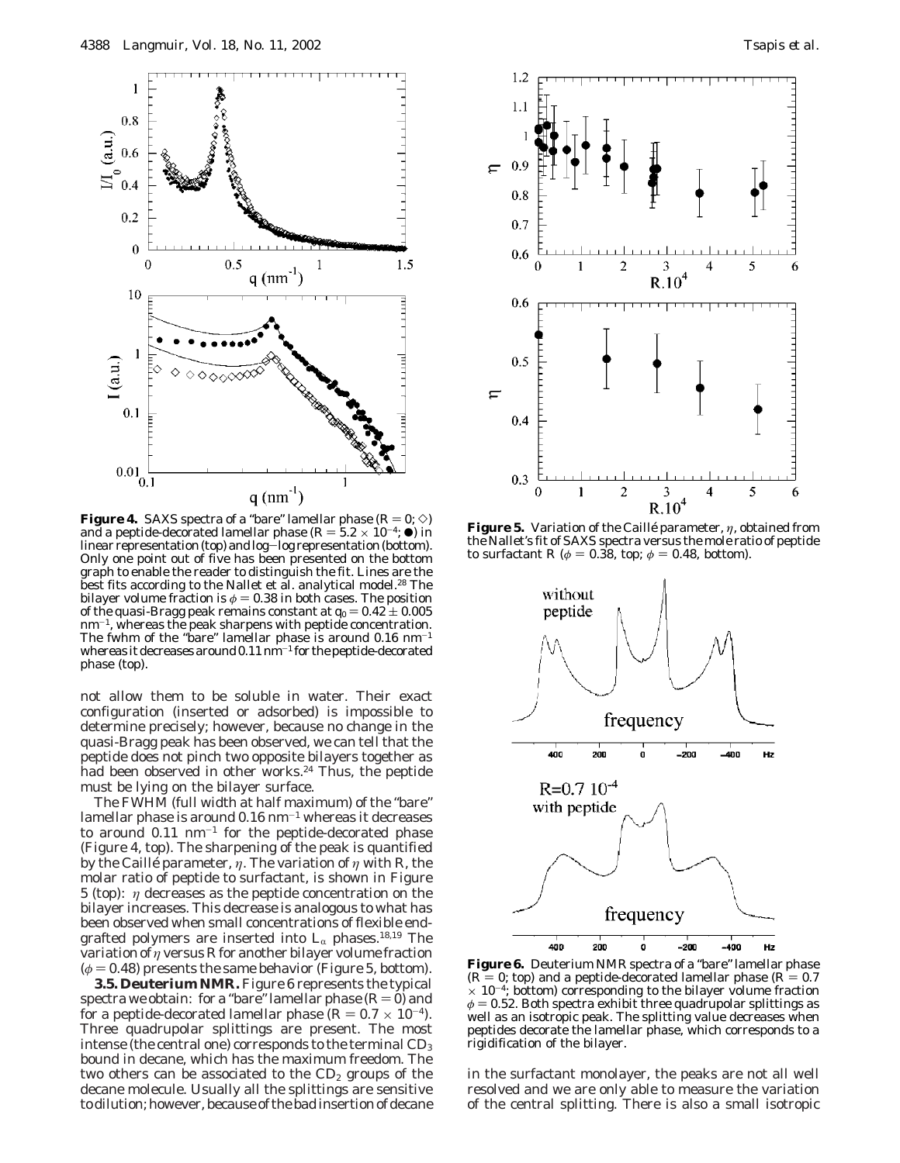

**Figure 4.** SAXS spectra of a "bare" lamellar phase  $(R = 0; \diamond)$ and a peptide-decorated lamellar phase  $(R = 5.2 \times 10^{-4}; \bullet)$  in linear representation (top) and log-log representation (bottom). linear representation (top) and log-log representation (bottom). Only one point out of five has been presented on the bottom graph to enable the reader to distinguish the fit. Lines are the best fits according to the Nallet et al. analytical model.<sup>28</sup> The bilayer volume fraction is  $\phi = 0.38$  in both cases. The position of the quasi-Bragg peak remains constant at  $q_0 = 0.42 \pm 0.005$  $nm^{-1}$ , whereas the peak sharpens with peptide concentration. The fwhm of the "bare" lamellar phase is around  $0.16 \text{ nm}^{-1}$ whereas it decreases around  $0.11$   $\text{nm}^{-1}$  for the peptide-decorated phase (top).

not allow them to be soluble in water. Their exact configuration (inserted or adsorbed) is impossible to determine precisely; however, because no change in the quasi-Bragg peak has been observed, we can tell that the peptide does not pinch two opposite bilayers together as had been observed in other works.<sup>24</sup> Thus, the peptide must be lying on the bilayer surface.

The FWHM (full width at half maximum) of the "bare" lamellar phase is around  $0.16$  nm<sup> $-1$ </sup> whereas it decreases to around  $0.11 \text{ nm}^{-1}$  for the peptide-decorated phase (Figure 4, top). The sharpening of the peak is quantified by the Caillé parameter,  $\eta$ . The variation of  $\eta$  with  $R$ , the molar ratio of peptide to surfactant, is shown in Figure 5 (top): *η* decreases as the peptide concentration on the bilayer increases. This decrease is analogous to what has been observed when small concentrations of flexible endgrafted polymers are inserted into  $L_{\alpha}$  phases.<sup>18,19</sup> The variation of *η* versus *R* for another bilayer volume fraction  $(\phi = 0.48)$  presents the same behavior (Figure 5, bottom).

**3.5. Deuterium NMR.** Figure 6 represents the typical spectra we obtain: for a "bare" lamellar phase  $(R=0)$  and for a peptide-decorated lamellar phase  $(R = 0.7 \times 10^{-4})$ . Three quadrupolar splittings are present. The most intense (the central one) corresponds to the terminal  $CD_3$ bound in decane, which has the maximum freedom. The two others can be associated to the  $CD<sub>2</sub>$  groups of the decane molecule. Usually all the splittings are sensitive to dilution; however, because of the bad insertion of decane



**Figure 5.** Variation of the Caillé parameter, *η*, obtained from the Nallet's fit of SAXS spectra versus the mole ratio of peptide to surfactant *R* ( $\phi$  = 0.38, top;  $\phi$  = 0.48, bottom).



**Figure 6.** Deuterium NMR spectra of a "bare" lamellar phase  $(R = 0;$  top) and a peptide-decorated lamellar phase  $(R = 0.7)$  $\times$  10<sup>-4</sup>; bottom) corresponding to the bilayer volume fraction  $\phi$  = 0.52. Both spectra exhibit three quadrupolar splittings as well as an isotropic peak. The splitting value decreases when peptides decorate the lamellar phase, which corresponds to a rigidification of the bilayer.

in the surfactant monolayer, the peaks are not all well resolved and we are only able to measure the variation of the central splitting. There is also a small isotropic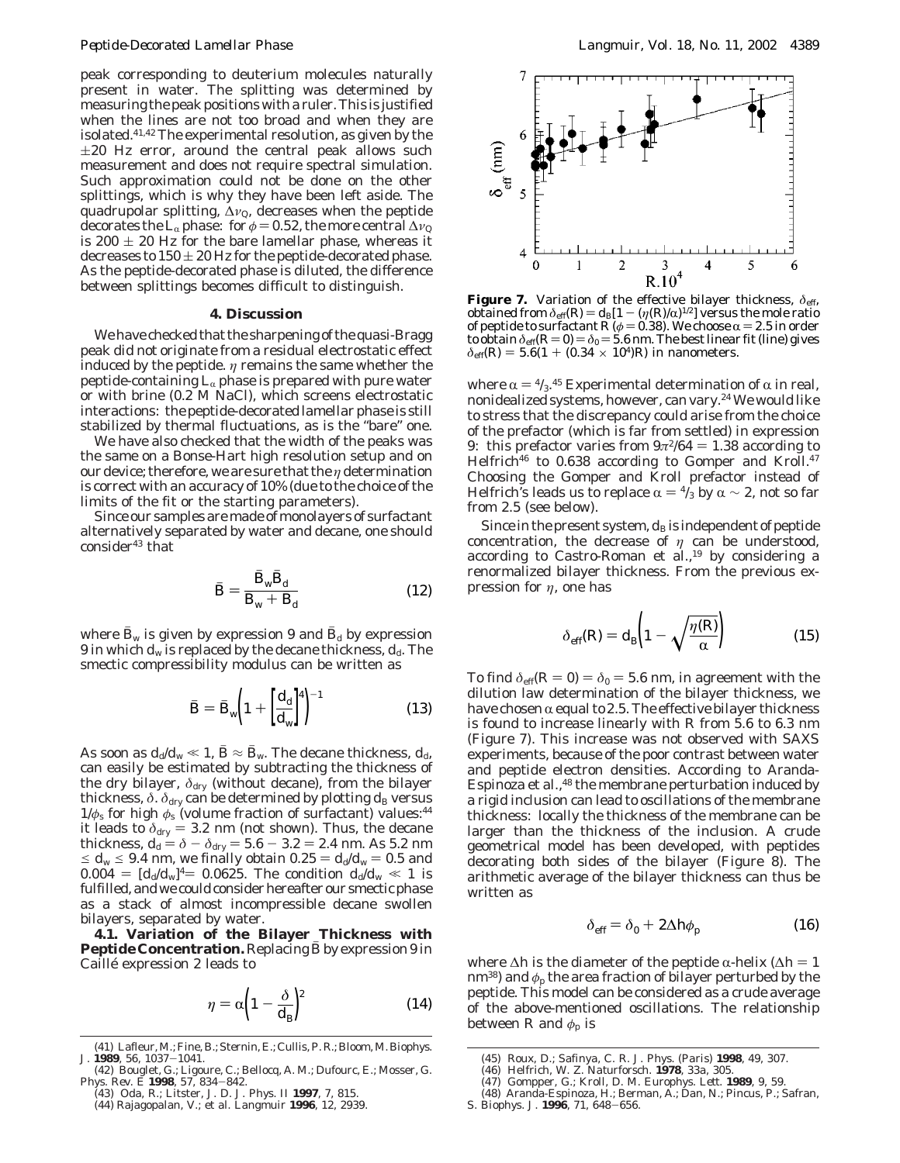peak corresponding to deuterium molecules naturally present in water. The splitting was determined by measuring the peak positions with a ruler. This is justified when the lines are not too broad and when they are isolated.41,42 The experimental resolution, as given by the  $\pm 20$  Hz error, around the central peak allows such measurement and does not require spectral simulation. Such approximation could not be done on the other splittings, which is why they have been left aside. The quadrupolar splitting, ∆*ν*Q, decreases when the peptide decorates the L<sub>α</sub> phase: for  $\phi = 0.52$ , the more central  $\Delta v_{\rm Q}$ is 200  $\pm$  20 Hz for the bare lamellar phase, whereas it decreases to  $150 \pm 20$  Hz for the peptide-decorated phase. As the peptide-decorated phase is diluted, the difference between splittings becomes difficult to distinguish.

# **4. Discussion**

We have checked that the sharpening of the quasi-Bragg peak did not originate from a residual electrostatic effect induced by the peptide. *η* remains the same whether the peptide-containing  $L_{\alpha}$  phase is prepared with pure water or with brine (0.2 M NaCl), which screens electrostatic interactions: the peptide-decorated lamellar phase is still stabilized by thermal fluctuations, as is the "bare" one.

We have also checked that the width of the peaks was the same on a Bonse-Hart high resolution setup and on our device; therefore, we are sure that the *η* determination is correct with an accuracy of 10% (due to the choice of the limits of the fit or the starting parameters).

Since our samples are made of monolayers of surfactant alternatively separated by water and decane, one should  $consider<sup>43</sup> that$ 

$$
\bar{B} = \frac{B_{\rm w}B_{\rm d}}{\bar{B}_{\rm w} + \bar{B}_{\rm d}}\tag{12}
$$

where  $B_w$  is given by expression 9 and  $B_d$  by expression 9 in which  $d_w$  is replaced by the decane thickness,  $d_d$ . The smectic compressibility modulus can be written as

$$
\bar{B} = \bar{B}_{\rm w} \bigg( 1 + \bigg[ \frac{d_{\rm d}}{d_{\rm w}} \bigg]^4 \bigg)^{-1} \tag{13}
$$

As soon as  $d_d/d_w \ll 1$ ,  $\bar{B} \approx \bar{B}_w$ . The decane thickness,  $d_d$ , can easily be estimated by subtracting the thickness of the dry bilayer,  $\delta_{\text{dry}}$  (without decane), from the bilayer thickness,  $\delta$ .  $\delta_{\text{dry}}$  can be determined by plotting  $d_{\text{B}}$  versus 1/*φ*<sup>s</sup> for high *φ*<sup>s</sup> (volume fraction of surfactant) values:44 it leads to  $\delta_{\text{dry}} = 3.2$  nm (not shown). Thus, the decane thickness  $d_4 = \delta - \delta_{\text{dyn}} = 5.6 - 3.2 = 2.4$  nm As 5.2 nm thickness,  $d_d = \delta - \delta_{\text{dry}} = 5.6 - 3.2 = 2.4 \text{ nm}$ . As 5.2 nm<br>  $d_d = 9.4 \text{ nm}$  we finally obtain 0.25 =  $d_d/d_u = 0.5$  and  $\leq d_w \leq 9.4$  nm, we finally obtain  $0.25 = d_d/d_w = 0.5$  and  $0.004 = [d_d/d_w]^4 = 0.0625$ . The condition  $d_d/d_w \ll 1$  is fulfilled, and we could consider hereafter our smectic phase as a stack of almost incompressible decane swollen bilayers, separated by water.

**4.1. Variation of the Bilayer Thickness with Peptide Concentration.** Replacing *B* by expression 9 in Caillé expression 2 leads to

$$
\eta = \alpha \left( 1 - \frac{\delta}{d_{\rm B}} \right)^2 \tag{14}
$$



**Figure 7.** Variation of the effective bilayer thickness,  $\delta_{\text{eff}}$ , obtained from  $\delta_{\text{eff}}(R) = d_B[1 - (\eta(R)/\alpha)^{1/2}]$  versus the mole ratio obtained from  $\delta_{\text{eff}}(R) = d_{\text{B}}[1 - (\eta(R)/\alpha)^{1/2}]$  versus the mole ratio of pentide to surfactant  $R(\phi = 0.38)$ . We choose  $\alpha = 2.5$  in order of peptide to surfactant  $R (\phi = 0.38)$ . We choose  $\alpha = 2.5$  in order<br>to obtain  $\delta_{\rm eff} (R = 0) = \delta_0 = 5.6$  nm. The best linear fit (line) gives to obtain  $\delta_{\text{eff}}(R=0) = \delta_0 = 5.6$  nm. The best linear fit (line) gives  $\delta_{\text{eff}}(R) = 5.6(1 + (0.34 \times 10^4)R)$  in nanometers.

where  $\alpha$  =  $\frac{4}{3}$ .<sup>45</sup> Experimental determination of  $\alpha$  in real,<br>nonidealized systems, however, can vary <sup>24</sup> We would like nonidealized systems, however, can vary.24 We would like to stress that the discrepancy could arise from the choice of the prefactor (which is far from settled) in expression 9: this prefactor varies from  $9\pi^2/64 = 1.38$  according to Helfrich<sup>46</sup> to 0.638 according to Gomper and Kroll.<sup>47</sup> Choosing the Gomper and Kroll prefactor instead of Helfrich's leads us to replace  $\alpha = \frac{4}{3}$  by  $\alpha \sim 2$ , not so far from 2.5 (see below).

Since in the present system,  $d_B$  is independent of peptide concentration, the decrease of  $\eta$  can be understood, according to Castro-Roman et al.,<sup>19</sup> by considering a renormalized bilayer thickness. From the previous expression for *η*, one has

$$
\delta_{\text{eff}}(R) = d_{\text{B}} \left( 1 - \sqrt{\frac{\eta(R)}{\alpha}} \right) \tag{15}
$$

To find  $\delta_{\text{eff}}(R = 0) = \delta_0 = 5.6$  nm, in agreement with the dilution law determination of the bilayer thickness, we have chosen  $\alpha$  equal to 2.5. The effective bilayer thickness is found to increase linearly with *R* from 5.6 to 6.3 nm (Figure 7). This increase was not observed with SAXS experiments, because of the poor contrast between water and peptide electron densities. According to Aranda-Espinoza et al.,48 the membrane perturbation induced by a rigid inclusion can lead to oscillations of the membrane thickness: locally the thickness of the membrane can be larger than the thickness of the inclusion. A crude geometrical model has been developed, with peptides decorating both sides of the bilayer (Figure 8). The arithmetic average of the bilayer thickness can thus be written as

$$
\delta_{\rm eff} = \delta_0 + 2\Delta h \phi_{\rm p} \tag{16}
$$

where  $\Delta h$  is the diameter of the peptide  $\alpha$ -helix ( $\Delta h = 1$ nm<sup>38</sup>) and  $\phi_p$  the area fraction of bilayer perturbed by the peptide. This model can be considered as a crude average of the above-mentioned oscillations. The relationship between *R* and  $\phi_p$  is

<sup>(41)</sup> Lafleur, M.; Fine, B.; Sternin, E.; Cullis, P. R.; Bloom, M.*Biophys.*

*J.* **1989**, *56*, 1037–1041.<br>
(42) Bouglet, G.; Ligoure, C.; Bellocq, A. M.; Dufourc, E.; Mosser, G.<br> *Phys. Rev. E* **1998**, *57*, 834–842.<br>
(43) Oda, R.; Litster, J. D. *J. Phys. II* **1997**, *7*, 815.<br>
(44) Rajagopalan,

<sup>(45)</sup> Roux, D.; Safinya, C. R. *J. Phys. (Paris)* **1998**, *49*, 307. (46) Helfrich, W. *Z. Naturforsch.* **1978**, *33a*, 305.

<sup>(47)</sup> Gompper, G.; Kroll, D. M. *Europhys. Lett*. **1989**, *9*, 59.

<sup>(48)</sup> Aranda-Espinoza, H.; Berman, A.; Dan, N.; Pincus, P.; Safran, S. *Biophys. J*. **<sup>1996</sup>**, *<sup>71</sup>*, 648-656.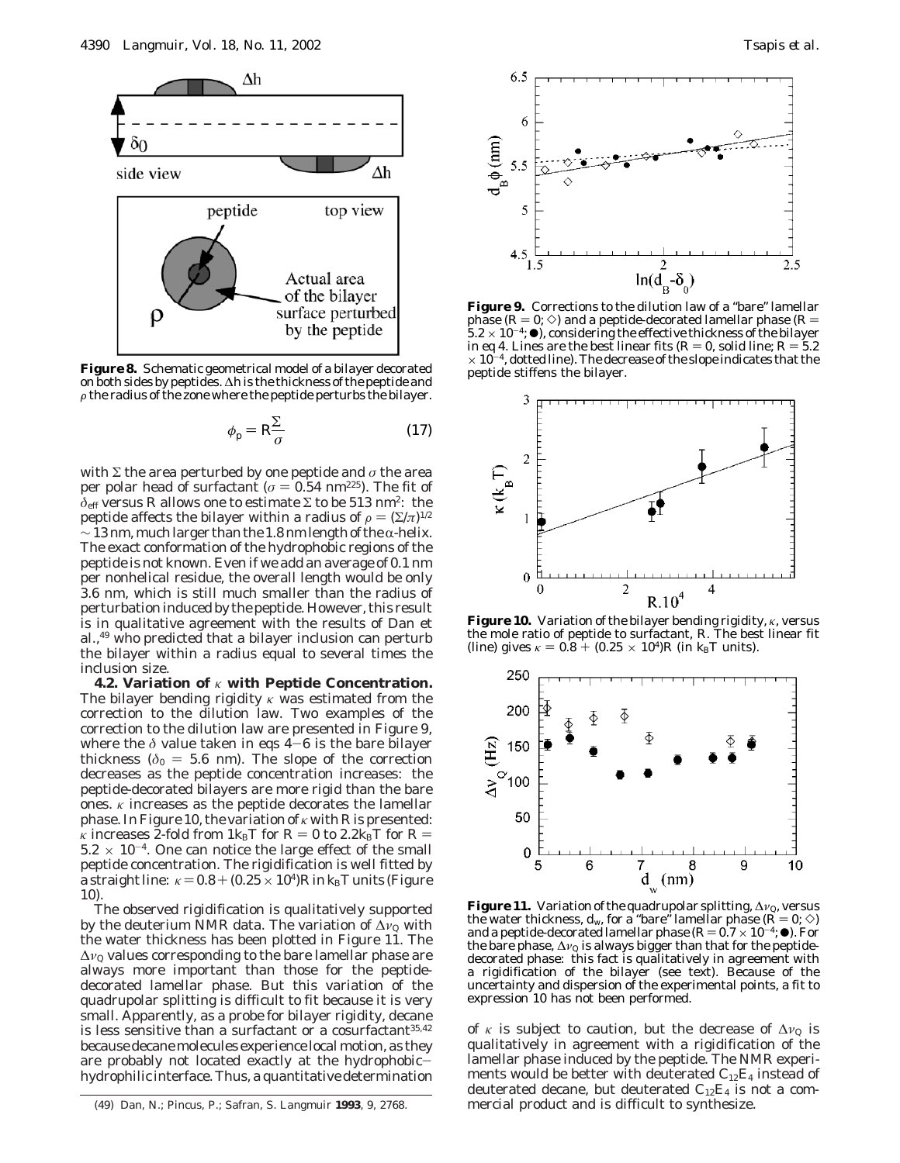

**Figure 8.** Schematic geometrical model of a bilayer decorated on both sides by peptides. ∆*h* is the thickness of the peptide and  $\rho$  the radius of the zone where the peptide perturbs the bilayer.

$$
\phi_{\rm p} = R \frac{\sum}{\sigma} \tag{17}
$$

with  $\Sigma$  the area perturbed by one peptide and  $\sigma$  the area per polar head of surfactant ( $\sigma$  = 0.54 nm<sup>225</sup>). The fit of  $\delta$ <sub>eff</sub> versus *R* allows one to estimate Σ to be 513 nm<sup>2</sup>: the peptide affects the bilayer within a radius of  $\rho = (\Sigma/\pi)^{1/2}$  $\sim$  13 nm, much larger than the 1.8 nm length of the  $\alpha$ -helix. The exact conformation of the hydrophobic regions of the peptide is not known. Even if we add an average of 0.1 nm per nonhelical residue, the overall length would be only 3.6 nm, which is still much smaller than the radius of perturbation induced by the peptide. However, this result is in qualitative agreement with the results of Dan et al.,49 who predicted that a bilayer inclusion can perturb the bilayer within a radius equal to several times the inclusion size.

**4.2. Variation of** *κ* **with Peptide Concentration.** The bilayer bending rigidity *κ* was estimated from the correction to the dilution law. Two examples of the correction to the dilution law are presented in Figure 9, where the *<sup>δ</sup>* value taken in eqs 4-6 is the bare bilayer thickness ( $\delta_0 = 5.6$  nm). The slope of the correction decreases as the peptide concentration increases: the peptide-decorated bilayers are more rigid than the bare ones.  $\kappa$  increases as the peptide decorates the lamellar phase. In Figure 10, the variation of *κ* with *R* is presented: *κ* increases 2-fold from  $1k_BT$  for  $R = 0$  to 2.2 $k_BT$  for  $R =$  $5.2 \times 10^{-4}$ . One can notice the large effect of the small peptide concentration. The rigidification is well fitted by a straight line:  $\kappa$  = 0.8 + (0.25  $\times$  10<sup>4</sup>)*R* in *k*<sub>B</sub>*T* units (Figure 10).

The observed rigidification is qualitatively supported by the deuterium NMR data. The variation of ∆*ν*<sub>0</sub> with the water thickness has been plotted in Figure 11. The ∆*ν*<sup>Q</sup> values corresponding to the bare lamellar phase are always more important than those for the peptidedecorated lamellar phase. But this variation of the quadrupolar splitting is difficult to fit because it is very small. Apparently, as a probe for bilayer rigidity, decane is less sensitive than a surfactant or a cosurfactant $35,42$ because decane molecules experience local motion, as they are probably not located exactly at the hydrophobichydrophilic interface. Thus, a quantitative determination



**Figure 9.** Corrections to the dilution law of a "bare" lamellar phase  $(R = 0; \Diamond)$  and a peptide-decorated lamellar phase  $(R = 5.2 \times 10^{-4}; \bullet)$ , considering the effective thickness of the bilayer in eq 4. Lines are the best linear fits ( $R = 0$ , solid line;  $R = 5.2$  $\times$  10<sup>-4</sup>, dotted line). The decrease of the slope indicates that the peptide stiffens the bilayer.



**Figure 10.** Variation of the bilayer bending rigidity, *κ*, versus the mole ratio of peptide to surfactant, *R*. The best linear fit (line) gives  $\kappa = 0.8 + (0.25 \times 10^4)R$  (in  $k_B T$  units).



**Figure 11.** Variation of the quadrupolar splitting, ∆*v*<sub>0</sub>, versus<br>the water thickness, *d<sub>w</sub>,* for a "bare" lamellar phase (*R* = 0; ◇)<br>and a pentide-decorated lamellar phase (*R* = 0.7 × 10<sup>-4</sup>: ●). For and a peptide-decorated lamellar phase  $(R=0.7 \times 10^{-4}; \bullet)$ . For the bare phase,  $\Delta v_Q$  is always bigger than that for the peptidedecorated phase: this fact is qualitatively in agreement with a rigidification of the bilayer (see text). Because of the uncertainty and dispersion of the experimental points, a fit to expression 10 has not been performed.

of  $\kappa$  is subject to caution, but the decrease of  $\Delta v_{\mathcal{Q}}$  is qualitatively in agreement with a rigidification of the lamellar phase induced by the peptide. The NMR experiments would be better with deuterated  $C_{12}E_4$  instead of deuterated decane, but deuterated  $C_{12}E_4$  is not a com-<br>mercial product and is difficult to synthesize.

<sup>(49)</sup> Dan, N.; Pincus, P.; Safran, S. *Langmuir* 1993, 9, 2768.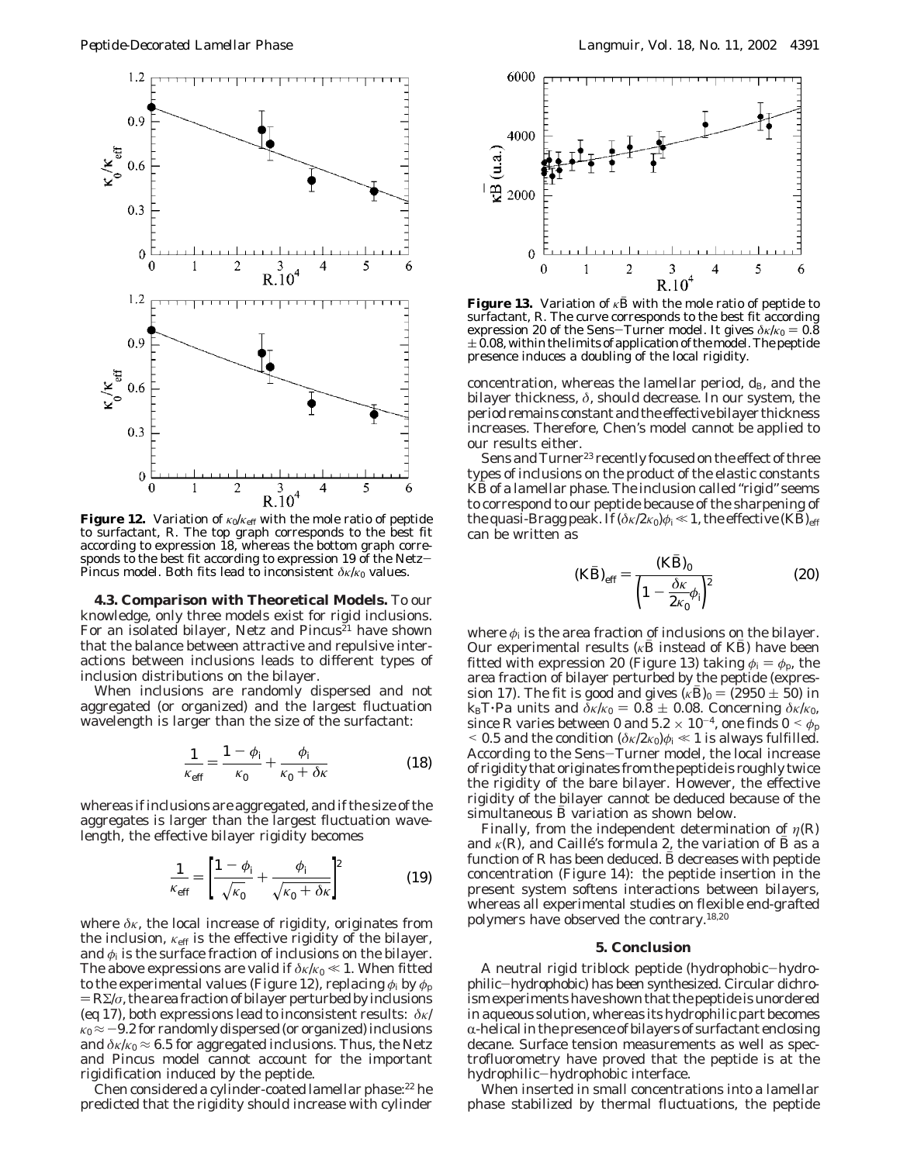

**Figure 12.** Variation of *κ*0/*κ*eff with the mole ratio of peptide to surfactant, *R*. The top graph corresponds to the best fit according to expression 18, whereas the bottom graph corresponds to the best fit according to expression 19 of the Netz-Pincus model. Both fits lead to inconsistent  $\delta$ *κ/κ*<sub>0</sub> values.

**4.3. Comparison with Theoretical Models.** To our knowledge, only three models exist for rigid inclusions. For an isolated bilayer, Netz and Pincus<sup>21</sup> have shown that the balance between attractive and repulsive interactions between inclusions leads to different types of inclusion distributions on the bilayer.

When inclusions are randomly dispersed and not aggregated (or organized) and the largest fluctuation wavelength is larger than the size of the surfactant:

$$
\frac{1}{\kappa_{\text{eff}}} = \frac{1 - \phi_{\text{i}}}{\kappa_0} + \frac{\phi_{\text{i}}}{\kappa_0 + \delta \kappa} \tag{18}
$$

whereas if inclusions are aggregated, and if the size of the aggregates is larger than the largest fluctuation wavelength, the effective bilayer rigidity becomes

$$
\frac{1}{\kappa_{\text{eff}}} = \left[\frac{1-\phi_{\text{i}}}{\sqrt{\kappa_0}} + \frac{\phi_{\text{i}}}{\sqrt{\kappa_0 + \delta \kappa}}\right]^2 \tag{19}
$$

where *δκ*, the local increase of rigidity, originates from the inclusion,  $\kappa_{\text{eff}}$  is the effective rigidity of the bilayer, and  $\phi_i$  is the surface fraction of inclusions on the bilayer. The above expressions are valid if  $\delta \kappa / \kappa_0 \ll 1$ . When fitted to the experimental values (Figure 12), replacing  $\phi_i$  by  $\phi_p$  $=R\Sigma/\sigma$ , the area fraction of bilayer perturbed by inclusions (eq 17), both expressions lead to inconsistent results: *δκ*/  $\kappa_0 \approx -9.2$  for randomly dispersed (or organized) inclusions and  $\delta \kappa / \kappa_0 \approx 6.5$  for aggregated inclusions. Thus, the Netz and Pincus model cannot account for the important rigidification induced by the peptide.

Chen considered a cylinder-coated lamellar phase:22 he predicted that the rigidity should increase with cylinder



**Figure 13.** Variation of  $\kappa \bar{B}$  with the mole ratio of peptide to surfactant, *R*. The curve corresponds to the best fit according expression 20 of the Sens-Turner model. It gives  $\delta \kappa / \kappa_0 = 0.8$  $\pm$  0.08, within the limits of application of the model. The peptide presence induces a doubling of the local rigidity.

concentration, whereas the lamellar period,  $d_B$ , and the bilayer thickness, *δ*, should decrease. In our system, the period remains constant and the effective bilayer thickness increases. Therefore, Chen's model cannot be applied to our results either.

Sens and Turner<sup>23</sup> recently focused on the effect of three types of inclusions on the product of the elastic constants *KB* of a lamellar phase. The inclusion called "rigid" seems to correspond to our peptide because of the sharpening of the quasi-Bragg peak. If  $(\delta \kappa / 2 \kappa_0) \phi_i \ll 1$ , the effective  $(KB)_{\text{eff}}$ can be written as

$$
(K\bar{B})_{\text{eff}} = \frac{(K\bar{B})_0}{\left(1 - \frac{\delta \kappa}{2\kappa_0} \phi_i\right)^2}
$$
(20)

where  $\phi_i$  is the area fraction of inclusions on the bilayer. Our experimental results ( $\kappa B$  instead of *KB*) have been fitted with expression 20 (Figure 13) taking  $\phi_i = \phi_p$ , the area fraction of bilayer perturbed by the peptide (expression 17). The fit is good and gives ( $\kappa B_0 = (2950 \pm 50)$  in *k*<sub>B</sub>*T*·Pa units and *δκ*/*κ*<sub>0</sub> = 0.8  $\pm$  0.08. Concerning *δκ*/*κ*<sub>0</sub>, since *R* varies between 0 and  $5.2 \times 10^{-4}$ , one finds  $0 \le \phi_p$  $<$  0.5 and the condition ( $\delta \kappa / 2 \kappa_0$ ) $\phi_i$   $\ll$  1 is always fulfilled. According to the Sens-Turner model, the local increase of rigidity that originates from the peptide is roughly twice the rigidity of the bare bilayer. However, the effective rigidity of the bilayer cannot be deduced because of the simultaneous  $\bar{B}$  variation as shown below.

Finally, from the independent determination of  $\eta(R)$ and  $\kappa(R)$ , and Caillé's formula 2, the variation of *B* as a function of  $R$  has been deduced.  $\bar{B}$  decreases with peptide concentration (Figure 14): the peptide insertion in the present system softens interactions between bilayers, whereas all experimental studies on flexible end-grafted polymers have observed the contrary.18,20

#### **5. Conclusion**

A neutral rigid triblock peptide (hydrophobic-hydrophilic-hydrophobic) has been synthesized. Circular dichroism experiments have shown that the peptide is unordered in aqueous solution, whereas its hydrophilic part becomes  $\alpha$ -helical in the presence of bilayers of surfactant enclosing decane. Surface tension measurements as well as spectrofluorometry have proved that the peptide is at the hydrophilic-hydrophobic interface.

When inserted in small concentrations into a lamellar phase stabilized by thermal fluctuations, the peptide